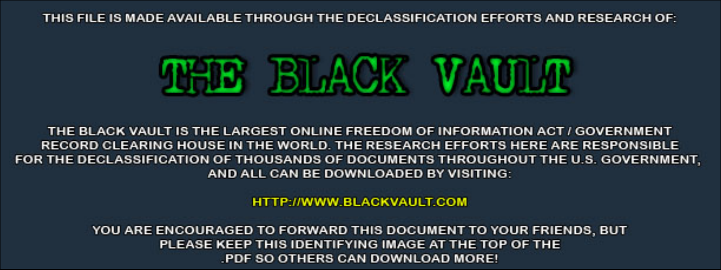THIS FILE IS MADE AVAILABLE THROUGH THE DECLASSIFICATION EFFORTS AND RESEARCH OF:



THE BLACK VAULT IS THE LARGEST ONLINE FREEDOM OF INFORMATION ACT / GOVERNMENT RECORD CLEARING HOUSE IN THE WORLD. THE RESEARCH EFFORTS HERE ARE RESPONSIBLE FOR THE DECLASSIFICATION OF THOUSANDS OF DOCUMENTS THROUGHOUT THE U.S. GOVERNMENT, AND ALL CAN BE DOWNLOADED BY VISITING:

**HTTP://WWW.BLACKVAULT.COM** 

YOU ARE ENCOURAGED TO FORWARD THIS DOCUMENT TO YOUR FRIENDS, BUT PLEASE KEEP THIS IDENTIFYING IMAGE AT THE TOP OF THE PDF SO OTHERS CAN DOWNLOAD MORE!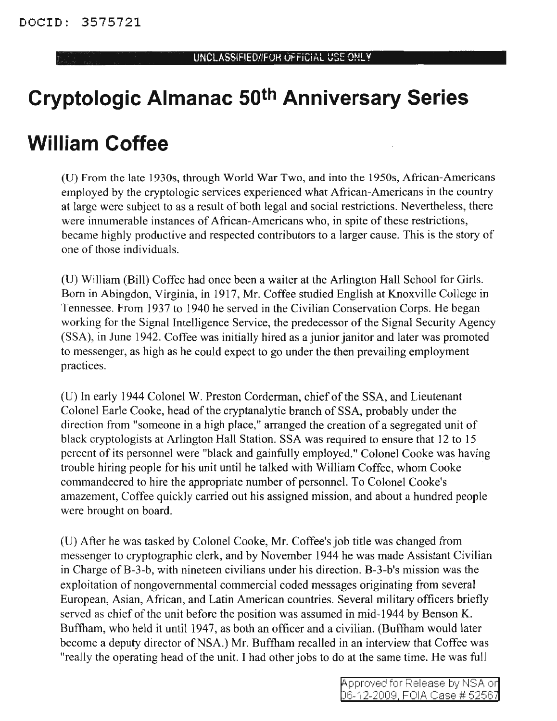## **Cryptologic Almanac 50th Anniversary Series**

## **William Coffee**

(U) From the late 1930s, through World War Two, and into the 1950s, African-Americans employed by the cryptologic services experienced what African-Americans in the country at large were subject to as a result of both legal and social restrictions. Nevertheless, there were innumerable instances of African-Americans who, in spite of these restrictions, became highly productive and respected contributors to a larger cause. This is the story of one of those individuals.

(U) William (Bill) Coffee had once been a waiter at the Arlington Hall School for Girls. Born in Abingdon, Virginia, in 1917, Mr. Coffee studied English at Knoxville College in Tennessee. From 1937 to 1940 he served in the Civilian Conservation Corps. He began working for the Signal Intelligence Service, the predecessor of the Signal Security Agency (SSA), in June 1942. Coffee was initially hired as a junior janitor and later was promoted to messenger, as high as he could expect to go under the then prevailing employment practices.

(U) In early 1944 Colonel W. Preston Corderman, chief of the SSA, and Lieutenant Colonel Earle Cooke, head of the cryptanalytic branch of SSA, probably under the direction from "someone in a high place," arranged the creation of a segregated unit of black cryptologists at Arlington Hall Station. SSA was required to ensure that 12 to 15 percent of its personnel were "black and gainfully employed." Colonel Cooke was having trouble hiring people for his unit until he talked with William Coffee, whom Cooke commandeered to hire the appropriate number of personnel. To Colonel Cooke's amazement, Coffee quickly carried out his assigned mission, and about a hundred people were brought on board.

(U) After he was tasked by Colonel Cooke, Mr. Coffee's job title was changed from messenger to cryptographic clerk, and by November 1944 he was made Assistant Civilian in Charge of B-3-b, with nineteen civilians under his direction. B-3-b's mission was the exploitation of nongovernmental commercial coded messages originating from several European, Asian, African, and Latin American countries. Several military officers briefly served as chief of the unit before the position was assumed in mid-1944 by Benson K. Buffham, who held it until 1947, as both an officer and a civilian. (Buffham would later become a deputy director of NSA.) Mr. Buffham recalled in an interview that Coffee was "really the operating head of the unit. I had other jobs to do at the same time. He was full